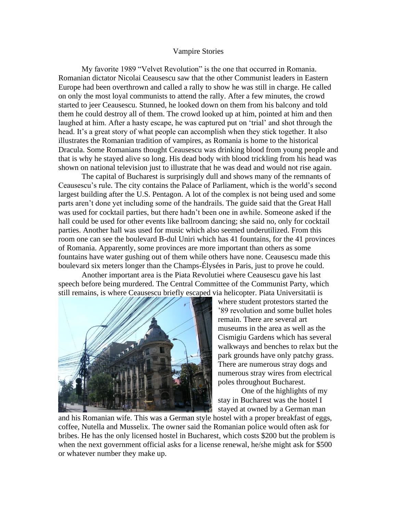## Vampire Stories

My favorite 1989 "Velvet Revolution" is the one that occurred in Romania. Romanian dictator Nicolai Ceausescu saw that the other Communist leaders in Eastern Europe had been overthrown and called a rally to show he was still in charge. He called on only the most loyal communists to attend the rally. After a few minutes, the crowd started to jeer Ceausescu. Stunned, he looked down on them from his balcony and told them he could destroy all of them. The crowd looked up at him, pointed at him and then laughed at him. After a hasty escape, he was captured put on 'trial' and shot through the head. It's a great story of what people can accomplish when they stick together. It also illustrates the Romanian tradition of vampires, as Romania is home to the historical Dracula. Some Romanians thought Ceausescu was drinking blood from young people and that is why he stayed alive so long. His dead body with blood trickling from his head was shown on national television just to illustrate that he was dead and would not rise again.

The capital of Bucharest is surprisingly dull and shows many of the remnants of Ceausescu's rule. The city contains the Palace of Parliament, which is the world's second largest building after the U.S. Pentagon. A lot of the complex is not being used and some parts aren't done yet including some of the handrails. The guide said that the Great Hall was used for cocktail parties, but there hadn't been one in awhile. Someone asked if the hall could be used for other events like ballroom dancing; she said no, only for cocktail parties. Another hall was used for music which also seemed underutilized. From this room one can see the boulevard B-dul Uniri which has 41 fountains, for the 41 provinces of Romania. Apparently, some provinces are more important than others as some fountains have water gushing out of them while others have none. Ceausescu made this boulevard six meters longer than the Champs-Élysées in Paris, just to prove he could.

Another important area is the Piata Revolutiei where Ceausescu gave his last speech before being murdered. The Central Committee of the Communist Party, which still remains, is where Ceausescu briefly escaped via helicopter. Piata Universitatii is



where student protestors started the '89 revolution and some bullet holes remain. There are several art museums in the area as well as the Cismigiu Gardens which has several walkways and benches to relax but the park grounds have only patchy grass. There are numerous stray dogs and numerous stray wires from electrical poles throughout Bucharest.

One of the highlights of my stay in Bucharest was the hostel I stayed at owned by a German man

and his Romanian wife. This was a German style hostel with a proper breakfast of eggs, coffee, Nutella and Musselix. The owner said the Romanian police would often ask for bribes. He has the only licensed hostel in Bucharest, which costs \$200 but the problem is when the next government official asks for a license renewal, he/she might ask for \$500 or whatever number they make up.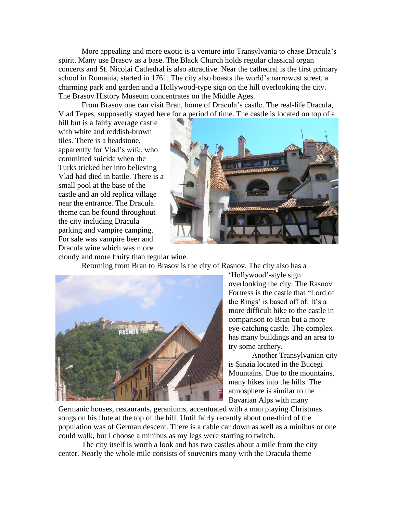More appealing and more exotic is a venture into Transylvania to chase Dracula's spirit. Many use Brasov as a base. The Black Church holds regular classical organ concerts and St. Nicolai Cathedral is also attractive. Near the cathedral is the first primary school in Romania, started in 1761. The city also boasts the world's narrowest street, a charming park and garden and a Hollywood-type sign on the hill overlooking the city. The Brasov History Museum concentrates on the Middle Ages.

From Brasov one can visit Bran, home of Dracula's castle. The real-life Dracula, Vlad Tepes, supposedly stayed here for a period of time. The castle is located on top of a

hill but is a fairly average castle with white and reddish-brown tiles. There is a headstone, apparently for Vlad's wife, who committed suicide when the Turks tricked her into believing Vlad had died in battle. There is a small pool at the base of the castle and an old replica village near the entrance. The Dracula theme can be found throughout the city including Dracula parking and vampire camping. For sale was vampire beer and Dracula wine which was more



cloudy and more fruity than regular wine.

Returning from Bran to Brasov is the city of Rasnov. The city also has a



'Hollywood'-style sign overlooking the city. The Rasnov Fortress is the castle that "Lord of the Rings' is based off of. It's a more difficult hike to the castle in comparison to Bran but a more eye-catching castle. The complex has many buildings and an area to try some archery.

Another Transylvanian city is Sinaia located in the Bucegi Mountains. Due to the mountains, many hikes into the hills. The atmosphere is similar to the Bavarian Alps with many

Germanic houses, restaurants, geraniums, accentuated with a man playing Christmas songs on his flute at the top of the hill. Until fairly recently about one-third of the population was of German descent. There is a cable car down as well as a minibus or one could walk, but I choose a minibus as my legs were starting to twitch.

The city itself is worth a look and has two castles about a mile from the city center. Nearly the whole mile consists of souvenirs many with the Dracula theme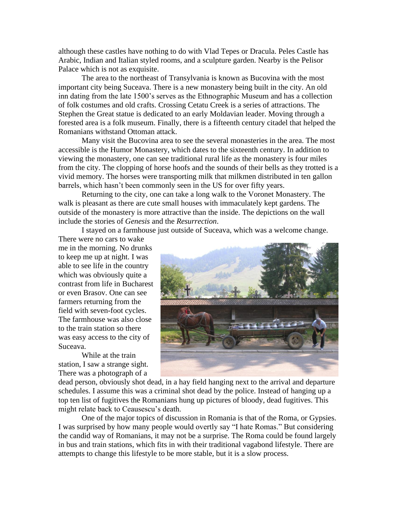although these castles have nothing to do with Vlad Tepes or Dracula. Peles Castle has Arabic, Indian and Italian styled rooms, and a sculpture garden. Nearby is the Pelisor Palace which is not as exquisite.

The area to the northeast of Transylvania is known as Bucovina with the most important city being Suceava. There is a new monastery being built in the city. An old inn dating from the late 1500's serves as the Ethnographic Museum and has a collection of folk costumes and old crafts. Crossing Cetatu Creek is a series of attractions. The Stephen the Great statue is dedicated to an early Moldavian leader. Moving through a forested area is a folk museum. Finally, there is a fifteenth century citadel that helped the Romanians withstand Ottoman attack.

Many visit the Bucovina area to see the several monasteries in the area. The most accessible is the Humor Monastery, which dates to the sixteenth century. In addition to viewing the monastery, one can see traditional rural life as the monastery is four miles from the city. The clopping of horse hoofs and the sounds of their bells as they trotted is a vivid memory. The horses were transporting milk that milkmen distributed in ten gallon barrels, which hasn't been commonly seen in the US for over fifty years.

Returning to the city, one can take a long walk to the Voronet Monastery. The walk is pleasant as there are cute small houses with immaculately kept gardens. The outside of the monastery is more attractive than the inside. The depictions on the wall include the stories of *Genesis* and the *Resurrection*.

I stayed on a farmhouse just outside of Suceava, which was a welcome change.

There were no cars to wake me in the morning. No drunks to keep me up at night. I was able to see life in the country which was obviously quite a contrast from life in Bucharest or even Brasov. One can see farmers returning from the field with seven-foot cycles. The farmhouse was also close to the train station so there was easy access to the city of Suceava.

While at the train station, I saw a strange sight. There was a photograph of a



dead person, obviously shot dead, in a hay field hanging next to the arrival and departure schedules. I assume this was a criminal shot dead by the police. Instead of hanging up a top ten list of fugitives the Romanians hung up pictures of bloody, dead fugitives. This might relate back to Ceausescu's death.

One of the major topics of discussion in Romania is that of the Roma, or Gypsies. I was surprised by how many people would overtly say "I hate Romas." But considering the candid way of Romanians, it may not be a surprise. The Roma could be found largely in bus and train stations, which fits in with their traditional vagabond lifestyle. There are attempts to change this lifestyle to be more stable, but it is a slow process.